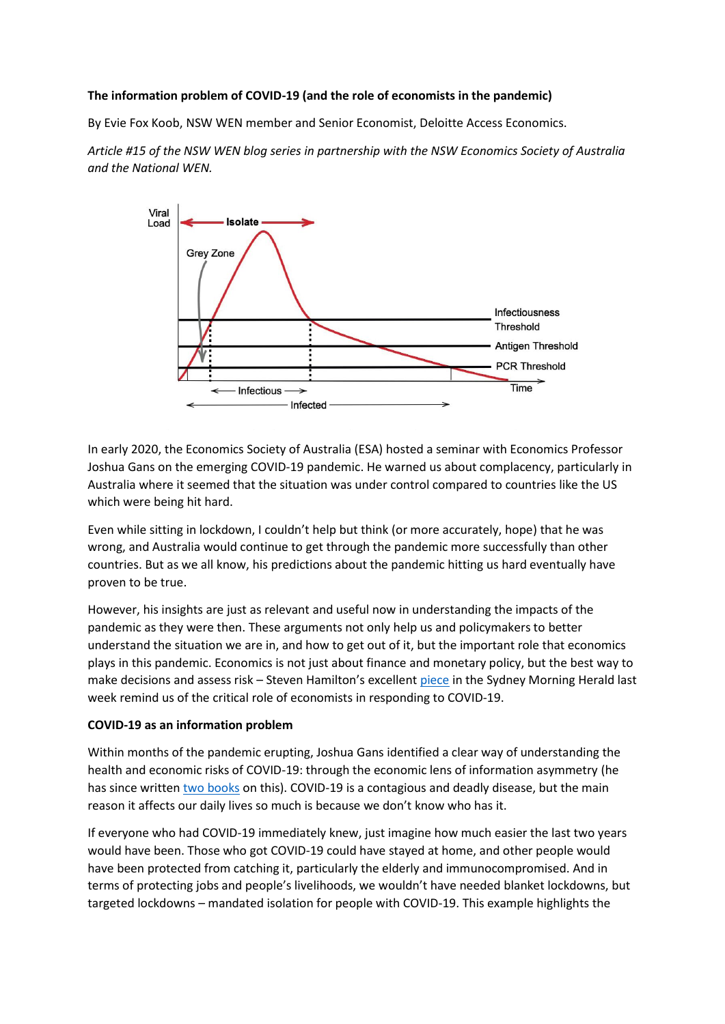### **The information problem of COVID-19 (and the role of economists in the pandemic)**

By Evie Fox Koob, NSW WEN member and Senior Economist, Deloitte Access Economics.

*Article #15 of the NSW WEN blog series in partnership with the NSW Economics Society of Australia and the National WEN.*



In early 2020, the Economics Society of Australia (ESA) hosted a seminar with Economics Professor Joshua Gans on the emerging COVID-19 pandemic. He warned us about complacency, particularly in Australia where it seemed that the situation was under control compared to countries like the US which were being hit hard.

Even while sitting in lockdown, I couldn't help but think (or more accurately, hope) that he was wrong, and Australia would continue to get through the pandemic more successfully than other countries. But as we all know, his predictions about the pandemic hitting us hard eventually have proven to be true.

However, his insights are just as relevant and useful now in understanding the impacts of the pandemic as they were then. These arguments not only help us and policymakers to better understand the situation we are in, and how to get out of it, but the important role that economics plays in this pandemic. Economics is not just about finance and monetary policy, but the best way to make decisions and assess risk – Steven Hamilton's excellent [piece](https://www.smh.com.au/national/critics-keep-telling-me-to-stay-in-my-lane-but-here-s-why-economists-should-weigh-in-on-covid-20220110-p59n8e.html) in the Sydney Morning Herald last week remind us of the critical role of economists in responding to COVID-19.

### **COVID-19 as an information problem**

Within months of the pandemic erupting, Joshua Gans identified a clear way of understanding the health and economic risks of COVID-19: through the economic lens of information asymmetry (he has since writte[n two books](https://www.joshuagans.com/pandemic-information-gap) on this). COVID-19 is a contagious and deadly disease, but the main reason it affects our daily lives so much is because we don't know who has it.

If everyone who had COVID-19 immediately knew, just imagine how much easier the last two years would have been. Those who got COVID-19 could have stayed at home, and other people would have been protected from catching it, particularly the elderly and immunocompromised. And in terms of protecting jobs and people's livelihoods, we wouldn't have needed blanket lockdowns, but targeted lockdowns – mandated isolation for people with COVID-19. This example highlights the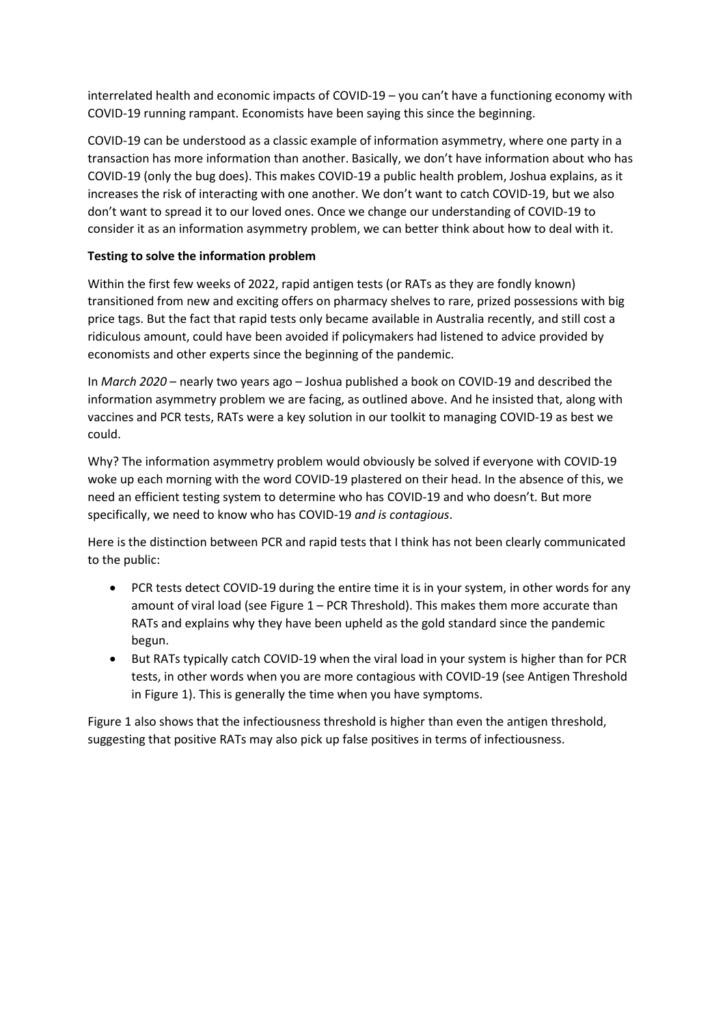interrelated health and economic impacts of COVID-19 – you can't have a functioning economy with COVID-19 running rampant. Economists have been saying this since the beginning.

COVID-19 can be understood as a classic example of information asymmetry, where one party in a transaction has more information than another. Basically, we don't have information about who has COVID-19 (only the bug does). This makes COVID-19 a public health problem, Joshua explains, as it increases the risk of interacting with one another. We don't want to catch COVID-19, but we also don't want to spread it to our loved ones. Once we change our understanding of COVID-19 to consider it as an information asymmetry problem, we can better think about how to deal with it.

# **Testing to solve the information problem**

Within the first few weeks of 2022, rapid antigen tests (or RATs as they are fondly known) transitioned from new and exciting offers on pharmacy shelves to rare, prized possessions with big price tags. But the fact that rapid tests only became available in Australia recently, and still cost a ridiculous amount, could have been avoided if policymakers had listened to advice provided by economists and other experts since the beginning of the pandemic.

In *March 2020* – nearly two years ago – Joshua published a book on COVID-19 and described the information asymmetry problem we are facing, as outlined above. And he insisted that, along with vaccines and PCR tests, RATs were a key solution in our toolkit to managing COVID-19 as best we could.

Why? The information asymmetry problem would obviously be solved if everyone with COVID-19 woke up each morning with the word COVID-19 plastered on their head. In the absence of this, we need an efficient testing system to determine who has COVID-19 and who doesn't. But more specifically, we need to know who has COVID-19 *and is contagious*.

Here is the distinction between PCR and rapid tests that I think has not been clearly communicated to the public:

- PCR tests detect COVID-19 during the entire time it is in your system, in other words for any amount of viral load (see Figure 1 – PCR Threshold). This makes them more accurate than RATs and explains why they have been upheld as the gold standard since the pandemic begun.
- But RATs typically catch COVID-19 when the viral load in your system is higher than for PCR tests, in other words when you are more contagious with COVID-19 (see Antigen Threshold in Figure 1). This is generally the time when you have symptoms.

Figure 1 also shows that the infectiousness threshold is higher than even the antigen threshold, suggesting that positive RATs may also pick up false positives in terms of infectiousness.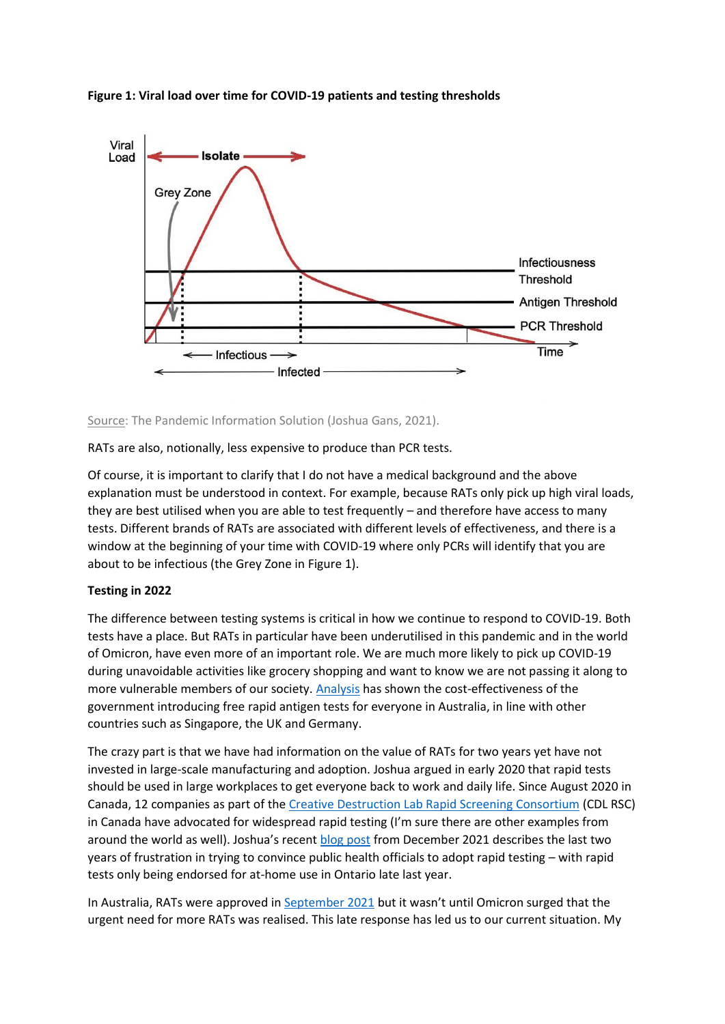



### [Source:](https://joshuagans.substack.com/p/rationing-rapid-tests) The Pandemic Information Solution (Joshua Gans, 2021).

RATs are also, notionally, less expensive to produce than PCR tests.

Of course, it is important to clarify that I do not have a medical background and the above explanation must be understood in context. For example, because RATs only pick up high viral loads, they are best utilised when you are able to test frequently – and therefore have access to many tests. Different brands of RATs are associated with different levels of effectiveness, and there is a window at the beginning of your time with COVID-19 where only PCRs will identify that you are about to be infectious (the Grey Zone in Figure 1).

## **Testing in 2022**

The difference between testing systems is critical in how we continue to respond to COVID-19. Both tests have a place. But RATs in particular have been underutilised in this pandemic and in the world of Omicron, have even more of an important role. We are much more likely to pick up COVID-19 during unavoidable activities like grocery shopping and want to know we are not passing it along to more vulnerable members of our society[. Analysis](https://theconversation.com/free-rapid-antigen-tests-makes-economic-sense-for-governments-our-analysis-shows-174342) has shown the cost-effectiveness of the government introducing free rapid antigen tests for everyone in Australia, in line with other countries such as Singapore, the UK and Germany.

The crazy part is that we have had information on the value of RATs for two years yet have not invested in large-scale manufacturing and adoption. Joshua argued in early 2020 that rapid tests should be used in large workplaces to get everyone back to work and daily life. Since August 2020 in Canada, 12 companies as part of the [Creative Destruction Lab Rapid Screening Consortium](https://www.cdlrapidscreeningconsortium.com/about) (CDL RSC) in Canada have advocated for widespread rapid testing (I'm sure there are other examples from around the world as well). Joshua's recent [blog post](https://joshuagans.substack.com/p/the-rapid-test-epiphany) from December 2021 describes the last two years of frustration in trying to convince public health officials to adopt rapid testing – with rapid tests only being endorsed for at-home use in Ontario late last year.

In Australia, RATs were approved i[n September 2021](https://www.news.com.au/national/politics/urgent-government-makes-surprise-move-on-rapid-tests/news-story/55d0916b2f9534bc5403c9abded0b9cc) but it wasn't until Omicron surged that the urgent need for more RATs was realised. This late response has led us to our current situation. My